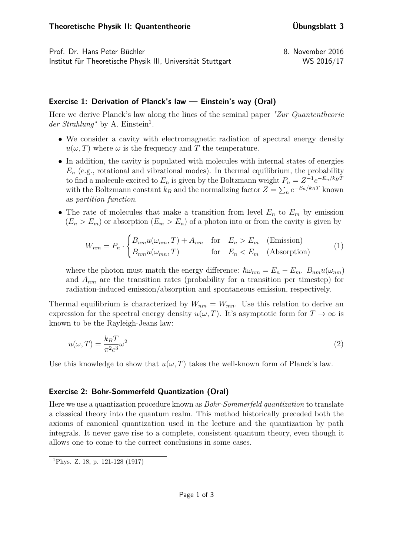Prof. Dr. Hans Peter Büchler 8. November 2016 Institut für Theoretische Physik III, Universität Stuttgart WS 2016/17

## **Exercise 1: Derivation of Planck's law — Einstein's way (Oral)**

Here we derive Planck's law along the lines of the seminal paper *"Zur Quantentheorie* der Strahlung<sup>"</sup> by A. Einstein<sup>[1](#page-0-0)</sup>.

- We consider a cavity with electromagnetic radiation of spectral energy density  $u(\omega, T)$  where  $\omega$  is the frequency and *T* the temperature.
- In addition, the cavity is populated with molecules with internal states of energies  $E_n$  (e.g., rotational and vibrational modes). In thermal equilibrium, the probability to find a molecule excited to  $E_n$  is given by the Boltzmann weight  $P_n = Z^{-1}e^{-E_n/k_B T}$ with the Boltzmann constant  $k_B$  and the normalizing factor  $Z = \sum_n e^{-E_n/k_B T}$  known as *partition function*.
- The rate of molecules that make a transition from level  $E_n$  to  $E_m$  by emission  $(E_n > E_m)$  or absorption  $(E_m > E_n)$  of a photon into or from the cavity is given by

$$
W_{nm} = P_n \cdot \begin{cases} B_{nm}u(\omega_{nm}, T) + A_{nm} & \text{for } E_n > E_m \quad \text{(Emission)}\\ B_{nm}u(\omega_{mn}, T) & \text{for } E_n < E_m \quad \text{(Absorption)} \end{cases}
$$
(1)

where the photon must match the energy difference:  $\hbar\omega_{nm} = E_n - E_m$ .  $B_{nm}u(\omega_{nm})$ and  $A_{nm}$  are the transition rates (probability for a transition per timestep) for radiation-induced emission/absorption and spontaneous emission, respectively.

Thermal equilibrium is characterized by  $W_{nm} = W_{mn}$ . Use this relation to derive an expression for the spectral energy density  $u(\omega, T)$ . It's asymptotic form for  $T \to \infty$  is known to be the Rayleigh-Jeans law:

$$
u(\omega, T) = \frac{k_B T}{\pi^2 c^3} \omega^2
$$
\n<sup>(2)</sup>

Use this knowledge to show that  $u(\omega, T)$  takes the well-known form of Planck's law.

## **Exercise 2: Bohr-Sommerfeld Quantization (Oral)**

Here we use a quantization procedure known as *Bohr-Sommerfeld quantization* to translate a classical theory into the quantum realm. This method historically preceded both the axioms of canonical quantization used in the lecture and the quantization by path integrals. It never gave rise to a complete, consistent quantum theory, even though it allows one to come to the correct conclusions in some cases.

<span id="page-0-0"></span><sup>1</sup>Phys. Z. 18, p. 121-128 (1917)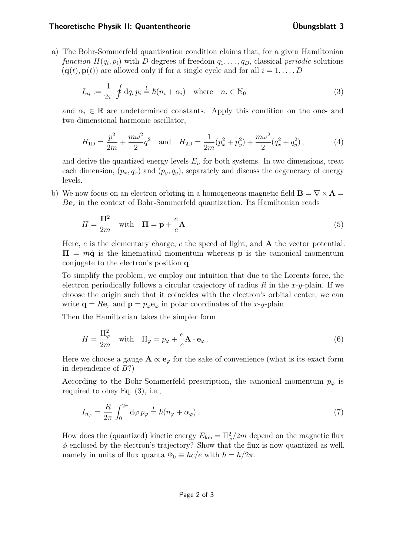a) The Bohr-Sommerfeld quantization condition claims that, for a given Hamiltonian *function*  $H(q_i, p_i)$  with *D* degrees of freedom  $q_1, \ldots, q_D$ , classical *periodic* solutions  $(\mathbf{q}(t), \mathbf{p}(t))$  are allowed only if for a single cycle and for all  $i = 1, \ldots, D$ 

<span id="page-1-0"></span>
$$
I_{n_i} := \frac{1}{2\pi} \oint dq_i \, p_i \stackrel{!}{=} \hbar (n_i + \alpha_i) \quad \text{where} \quad n_i \in \mathbb{N}_0
$$
 (3)

and  $\alpha_i \in \mathbb{R}$  are undetermined constants. Apply this condition on the one- and two-dimensional harmonic oscillator,

$$
H_{1D} = \frac{p^2}{2m} + \frac{m\omega^2}{2}q^2 \quad \text{and} \quad H_{2D} = \frac{1}{2m}(p_x^2 + p_y^2) + \frac{m\omega^2}{2}(q_x^2 + q_y^2),\tag{4}
$$

and derive the quantized energy levels  $E_n$  for both systems. In two dimensions, treat each dimension,  $(p_x, q_x)$  and  $(p_y, q_y)$ , separately and discuss the degeneracy of energy levels.

b) We now focus on an electron orbiting in a homogeneous magnetic field  $\mathbf{B} = \nabla \times \mathbf{A}$  $Be<sub>z</sub>$  in the context of Bohr-Sommerfeld quantization. Its Hamiltonian reads

$$
H = \frac{\Pi^2}{2m} \quad \text{with} \quad \Pi = \mathbf{p} + \frac{e}{c} \mathbf{A} \tag{5}
$$

Here, *e* is the elementary charge, *c* the speed of light, and **A** the vector potential.  $\Pi = m\dot{q}$  is the kinematical momentum whereas **p** is the canonical momentum conjugate to the electron's position **q**.

To simplify the problem, we employ our intuition that due to the Lorentz force, the electron periodically follows a circular trajectory of radius *R* in the *x*-*y*-plain. If we choose the origin such that it coincides with the electron's orbital center, we can write  $\mathbf{q} = R\mathbf{e}_r$  and  $\mathbf{p} = p_\varphi \mathbf{e}_\varphi$  in polar coordinates of the *x*-*y*-plain.

Then the Hamiltonian takes the simpler form

$$
H = \frac{\Pi_{\varphi}^{2}}{2m} \quad \text{with} \quad \Pi_{\varphi} = p_{\varphi} + \frac{e}{c} \mathbf{A} \cdot \mathbf{e}_{\varphi} \,. \tag{6}
$$

Here we choose a gauge  $\mathbf{A} \propto \mathbf{e}_{\varphi}$  for the sake of convenience (what is its exact form in dependence of *B*?)

According to the Bohr-Sommerfeld prescription, the canonical momentum  $p_{\varphi}$  is required to obey Eq. [\(3\)](#page-1-0), i.e.,

$$
I_{n_{\varphi}} = \frac{R}{2\pi} \int_0^{2\pi} d\varphi \, p_{\varphi} \stackrel{!}{=} \hbar (n_{\varphi} + \alpha_{\varphi}). \tag{7}
$$

How does the (quantized) kinetic energy  $E_{\text{kin}} = \Pi_{\varphi}^2/2m$  depend on the magnetic flux  $\phi$  enclosed by the electron's trajectory? Show that the flux is now quantized as well, namely in units of flux quanta  $\Phi_0 \equiv hc/e$  with  $\hbar = h/2\pi$ .